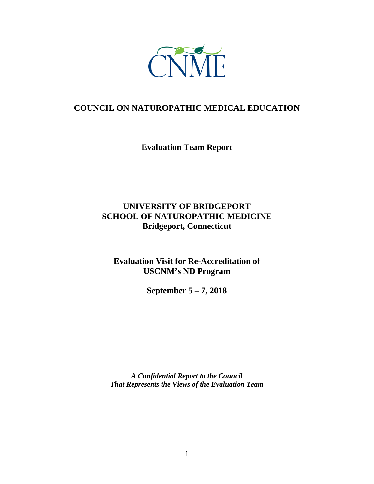

# **COUNCIL ON NATUROPATHIC MEDICAL EDUCATION**

**Evaluation Team Report**

# **UNIVERSITY OF BRIDGEPORT SCHOOL OF NATUROPATHIC MEDICINE Bridgeport, Connecticut**

**Evaluation Visit for Re-Accreditation of USCNM's ND Program**

**September 5 – 7, 2018**

*A Confidential Report to the Council That Represents the Views of the Evaluation Team*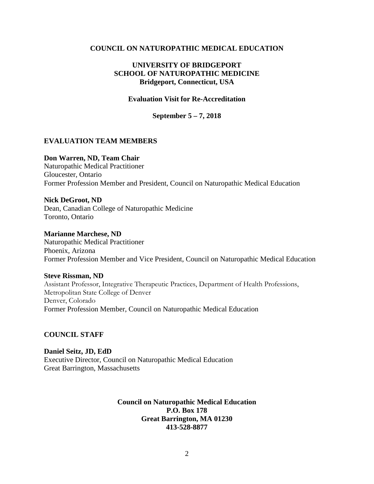#### **COUNCIL ON NATUROPATHIC MEDICAL EDUCATION**

#### **UNIVERSITY OF BRIDGEPORT SCHOOL OF NATUROPATHIC MEDICINE Bridgeport, Connecticut, USA**

#### **Evaluation Visit for Re-Accreditation**

**September 5 – 7, 2018**

#### **EVALUATION TEAM MEMBERS**

#### **Don Warren, ND, Team Chair**

Naturopathic Medical Practitioner Gloucester, Ontario Former Profession Member and President, Council on Naturopathic Medical Education

#### **Nick DeGroot, ND**

Dean, Canadian College of Naturopathic Medicine Toronto, Ontario

#### **Marianne Marchese, ND**

Naturopathic Medical Practitioner Phoenix, Arizona Former Profession Member and Vice President, Council on Naturopathic Medical Education

#### **Steve Rissman, ND**

Assistant Professor, Integrative Therapeutic Practices, Department of Health Professions, Metropolitan State College of Denver Denver, Colorado Former Profession Member, Council on Naturopathic Medical Education

#### **COUNCIL STAFF**

**Daniel Seitz, JD, EdD** Executive Director, Council on Naturopathic Medical Education Great Barrington, Massachusetts

> **Council on Naturopathic Medical Education P.O. Box 178 Great Barrington, MA 01230 413-528-8877**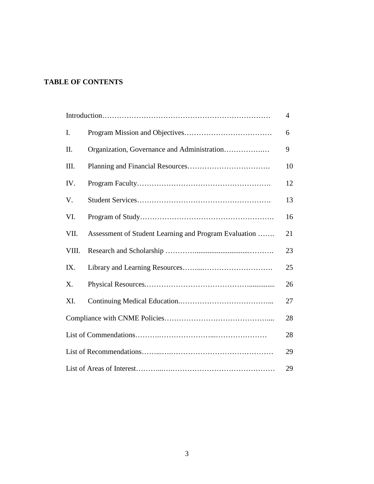## **TABLE OF CONTENTS**

|       |                                                       | $\overline{4}$ |
|-------|-------------------------------------------------------|----------------|
| I.    |                                                       | 6              |
| Π.    | Organization, Governance and Administration           | 9              |
| III.  |                                                       | 10             |
| IV.   |                                                       | 12             |
| V.    |                                                       | 13             |
| VI.   |                                                       | 16             |
| VII.  | Assessment of Student Learning and Program Evaluation | 21             |
| VIII. |                                                       | 23             |
| IX.   |                                                       | 25             |
| X.    |                                                       | 26             |
| XI.   |                                                       | 27             |
|       |                                                       | 28             |
|       |                                                       | 28             |
|       |                                                       | 29             |
|       |                                                       | 29             |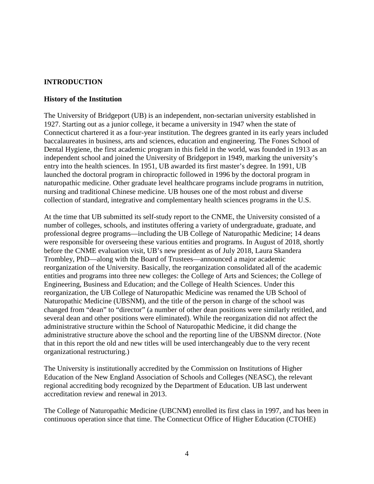### **INTRODUCTION**

#### **History of the Institution**

The University of Bridgeport (UB) is an independent, non-sectarian university established in 1927. Starting out as a junior college, it became a university in 1947 when the state of Connecticut chartered it as a four-year institution. The degrees granted in its early years included baccalaureates in business, arts and sciences, education and engineering. The Fones School of Dental Hygiene, the first academic program in this field in the world, was founded in 1913 as an independent school and joined the University of Bridgeport in 1949, marking the university's entry into the health sciences. In 1951, UB awarded its first master's degree. In 1991, UB launched the doctoral program in chiropractic followed in 1996 by the doctoral program in naturopathic medicine. Other graduate level healthcare programs include programs in nutrition, nursing and traditional Chinese medicine. UB houses one of the most robust and diverse collection of standard, integrative and complementary health sciences programs in the U.S.

At the time that UB submitted its self-study report to the CNME, the University consisted of a number of colleges, schools, and institutes offering a variety of undergraduate, graduate, and professional degree programs—including the UB College of Naturopathic Medicine; 14 deans were responsible for overseeing these various entities and programs. In August of 2018, shortly before the CNME evaluation visit, UB's new president as of July 2018, Laura Skandera Trombley, PhD—along with the Board of Trustees—announced a major academic reorganization of the University. Basically, the reorganization consolidated all of the academic entities and programs into three new colleges: the College of Arts and Sciences; the College of Engineering, Business and Education; and the College of Health Sciences. Under this reorganization, the UB College of Naturopathic Medicine was renamed the UB School of Naturopathic Medicine (UBSNM), and the title of the person in charge of the school was changed from "dean" to "director" (a number of other dean positions were similarly retitled, and several dean and other positions were eliminated). While the reorganization did not affect the administrative structure within the School of Naturopathic Medicine, it did change the administrative structure above the school and the reporting line of the UBSNM director. (Note that in this report the old and new titles will be used interchangeably due to the very recent organizational restructuring.)

The University is institutionally accredited by the Commission on Institutions of Higher Education of the New England Association of Schools and Colleges (NEASC), the relevant regional accrediting body recognized by the Department of Education. UB last underwent accreditation review and renewal in 2013.

The College of Naturopathic Medicine (UBCNM) enrolled its first class in 1997, and has been in continuous operation since that time. The Connecticut Office of Higher Education (CTOHE)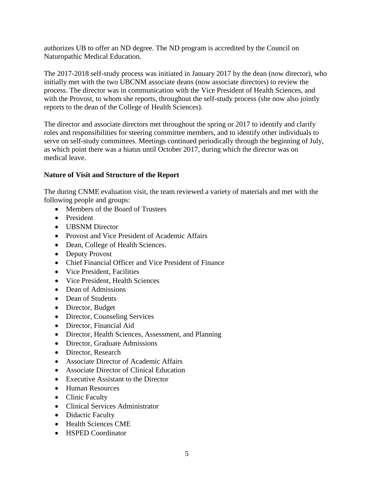authorizes UB to offer an ND degree. The ND program is accredited by the Council on Naturopathic Medical Education.

The 2017-2018 self-study process was initiated in January 2017 by the dean (now director), who initially met with the two UBCNM associate deans (now associate directors) to review the process. The director was in communication with the Vice President of Health Sciences, and with the Provost, to whom she reports, throughout the self-study process (she now also jointly reports to the dean of the College of Health Sciences).

The director and associate directors met throughout the spring or 2017 to identify and clarify roles and responsibilities for steering committee members, and to identify other individuals to serve on self-study committees. Meetings continued periodically through the beginning of July, as which point there was a hiatus until October 2017, during which the director was on medical leave.

#### **Nature of Visit and Structure of the Report**

The during CNME evaluation visit, the team reviewed a variety of materials and met with the following people and groups:

- Members of the Board of Trustees
- President
- UBSNM Director
- Provost and Vice President of Academic Affairs
- Dean, College of Health Sciences.
- Deputy Provost
- Chief Financial Officer and Vice President of Finance
- Vice President, Facilities
- Vice President, Health Sciences
- Dean of Admissions
- Dean of Students
- Director, Budget
- Director, Counseling Services
- Director, Financial Aid
- Director, Health Sciences, Assessment, and Planning
- Director, Graduate Admissions
- Director, Research
- Associate Director of Academic Affairs
- Associate Director of Clinical Education
- Executive Assistant to the Director
- Human Resources
- Clinic Faculty
- Clinical Services Administrator
- Didactic Faculty
- Health Sciences CME
- HSPED Coordinator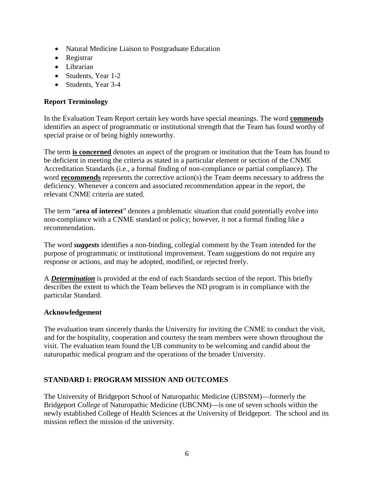- Natural Medicine Liaison to Postgraduate Education
- Registrar
- Librarian
- Students, Year 1-2
- Students, Year 3-4

## **Report Terminology**

In the Evaluation Team Report certain key words have special meanings. The word **commends** identifies an aspect of programmatic or institutional strength that the Team has found worthy of special praise or of being highly noteworthy.

The term **is concerned** denotes an aspect of the program or institution that the Team has found to be deficient in meeting the criteria as stated in a particular element or section of the CNME Accreditation Standards (i.e., a formal finding of non-compliance or partial compliance). The word **recommends** represents the corrective action(s) the Team deems necessary to address the deficiency. Whenever a concern and associated recommendation appear in the report, the relevant CNME criteria are stated.

The term "**area of interest**" denotes a problematic situation that could potentially evolve into non-compliance with a CNME standard or policy; however, it not a formal finding like a recommendation.

The word *suggests* identifies a non-binding, collegial comment by the Team intended for the purpose of programmatic or institutional improvement. Team suggestions do not require any response or actions, and may be adopted, modified, or rejected freely.

A *Determination* is provided at the end of each Standards section of the report. This briefly describes the extent to which the Team believes the ND program is in compliance with the particular Standard.

#### **Acknowledgement**

The evaluation team sincerely thanks the University for inviting the CNME to conduct the visit, and for the hospitality, cooperation and courtesy the team members were shown throughout the visit. The evaluation team found the UB community to be welcoming and candid about the naturopathic medical program and the operations of the broader University.

## **STANDARD I: PROGRAM MISSION AND OUTCOMES**

The University of Bridgeport School of Naturopathic Medicine (UBSNM)—formerly the Bridgeport *College* of Naturopathic Medicine (UBCNM)—is one of seven schools within the newly established College of Health Sciences at the University of Bridgeport. The school and its mission reflect the mission of the university.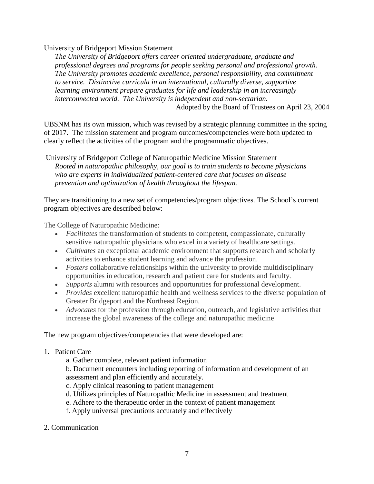#### University of Bridgeport Mission Statement

*The University of Bridgeport offers career oriented undergraduate, graduate and professional degrees and programs for people seeking personal and professional growth. The University promotes academic excellence, personal responsibility, and commitment to service. Distinctive curricula in an international, culturally diverse, supportive learning environment prepare graduates for life and leadership in an increasingly interconnected world. The University is independent and non-sectarian.* Adopted by the Board of Trustees on April 23, 2004

UBSNM has its own mission, which was revised by a strategic planning committee in the spring of 2017. The mission statement and program outcomes/competencies were both updated to clearly reflect the activities of the program and the programmatic objectives.

University of Bridgeport College of Naturopathic Medicine Mission Statement *Rooted in naturopathic philosophy, our goal is to train students to become physicians who are experts in individualized patient-centered care that focuses on disease prevention and optimization of health throughout the lifespan.*

They are transitioning to a new set of competencies/program objectives. The School's current program objectives are described below:

The College of Naturopathic Medicine:

- *Facilitates* the transformation of students to competent, compassionate, culturally sensitive naturopathic physicians who excel in a variety of healthcare settings.
- *Cultivates* an exceptional academic environment that supports research and scholarly activities to enhance student learning and advance the profession.
- *Fosters* collaborative relationships within the university to provide multidisciplinary opportunities in education, research and patient care for students and faculty.
- *Supports* alumni with resources and opportunities for professional development.
- *Provides* excellent naturopathic health and wellness services to the diverse population of Greater Bridgeport and the Northeast Region.
- *Advocates* for the profession through education, outreach, and legislative activities that increase the global awareness of the college and naturopathic medicine

The new program objectives/competencies that were developed are:

- 1. Patient Care
	- a. Gather complete, relevant patient information

b. Document encounters including reporting of information and development of an assessment and plan efficiently and accurately.

- c. Apply clinical reasoning to patient management
- d. Utilizes principles of Naturopathic Medicine in assessment and treatment
- e. Adhere to the therapeutic order in the context of patient management
- f. Apply universal precautions accurately and effectively
- 2. Communication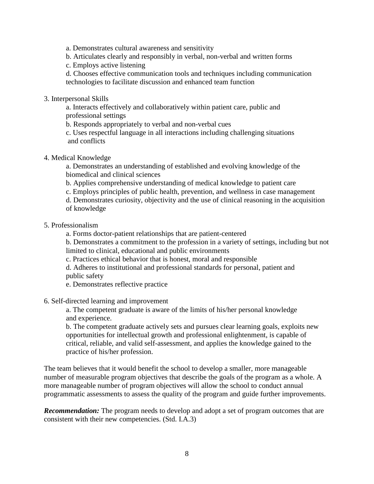a. Demonstrates cultural awareness and sensitivity

b. Articulates clearly and responsibly in verbal, non-verbal and written forms

c. Employs active listening

d. Chooses effective communication tools and techniques including communication technologies to facilitate discussion and enhanced team function

3. Interpersonal Skills

a. Interacts effectively and collaboratively within patient care, public and professional settings

b. Responds appropriately to verbal and non-verbal cues

c. Uses respectful language in all interactions including challenging situations and conflicts

4. Medical Knowledge

a. Demonstrates an understanding of established and evolving knowledge of the biomedical and clinical sciences

- b. Applies comprehensive understanding of medical knowledge to patient care
- c. Employs principles of public health, prevention, and wellness in case management
- d. Demonstrates curiosity, objectivity and the use of clinical reasoning in the acquisition of knowledge

#### 5. Professionalism

a. Forms doctor-patient relationships that are patient-centered

b. Demonstrates a commitment to the profession in a variety of settings, including but not limited to clinical, educational and public environments

c. Practices ethical behavior that is honest, moral and responsible

d. Adheres to institutional and professional standards for personal, patient and public safety

e. Demonstrates reflective practice

6. Self-directed learning and improvement

a. The competent graduate is aware of the limits of his/her personal knowledge and experience.

b. The competent graduate actively sets and pursues clear learning goals, exploits new opportunities for intellectual growth and professional enlightenment, is capable of critical, reliable, and valid self-assessment, and applies the knowledge gained to the practice of his/her profession.

The team believes that it would benefit the school to develop a smaller, more manageable number of measurable program objectives that describe the goals of the program as a whole. A more manageable number of program objectives will allow the school to conduct annual programmatic assessments to assess the quality of the program and guide further improvements.

**Recommendation:** The program needs to develop and adopt a set of program outcomes that are consistent with their new competencies. (Std. I.A.3)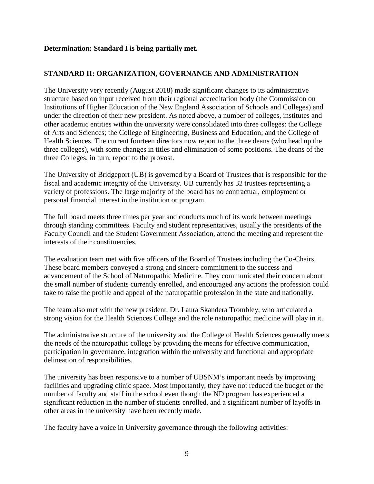#### **Determination: Standard I is being partially met.**

#### **STANDARD II: ORGANIZATION, GOVERNANCE AND ADMINISTRATION**

The University very recently (August 2018) made significant changes to its administrative structure based on input received from their regional accreditation body (the Commission on Institutions of Higher Education of the New England Association of Schools and Colleges) and under the direction of their new president. As noted above, a number of colleges, institutes and other academic entities within the university were consolidated into three colleges: the College of Arts and Sciences; the College of Engineering, Business and Education; and the College of Health Sciences. The current fourteen directors now report to the three deans (who head up the three colleges), with some changes in titles and elimination of some positions. The deans of the three Colleges, in turn, report to the provost.

The University of Bridgeport (UB) is governed by a Board of Trustees that is responsible for the fiscal and academic integrity of the University. UB currently has 32 trustees representing a variety of professions. The large majority of the board has no contractual, employment or personal financial interest in the institution or program.

The full board meets three times per year and conducts much of its work between meetings through standing committees. Faculty and student representatives, usually the presidents of the Faculty Council and the Student Government Association, attend the meeting and represent the interests of their constituencies.

The evaluation team met with five officers of the Board of Trustees including the Co-Chairs. These board members conveyed a strong and sincere commitment to the success and advancement of the School of Naturopathic Medicine. They communicated their concern about the small number of students currently enrolled, and encouraged any actions the profession could take to raise the profile and appeal of the naturopathic profession in the state and nationally.

The team also met with the new president, Dr. Laura Skandera Trombley, who articulated a strong vision for the Health Sciences College and the role naturopathic medicine will play in it.

The administrative structure of the university and the College of Health Sciences generally meets the needs of the naturopathic college by providing the means for effective communication, participation in governance, integration within the university and functional and appropriate delineation of responsibilities.

The university has been responsive to a number of UBSNM's important needs by improving facilities and upgrading clinic space. Most importantly, they have not reduced the budget or the number of faculty and staff in the school even though the ND program has experienced a significant reduction in the number of students enrolled, and a significant number of layoffs in other areas in the university have been recently made.

The faculty have a voice in University governance through the following activities: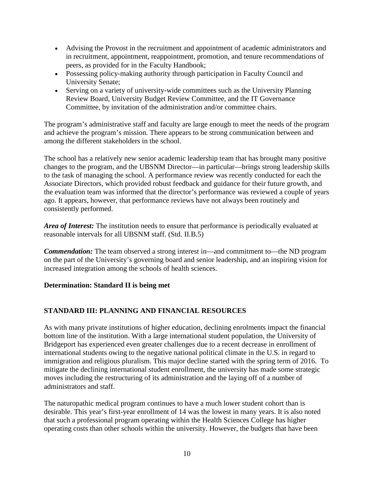- Advising the Provost in the recruitment and appointment of academic administrators and in recruitment, appointment, reappointment, promotion, and tenure recommendations of peers, as provided for in the Faculty Handbook;
- Possessing policy-making authority through participation in Faculty Council and University Senate;
- Serving on a variety of university-wide committees such as the University Planning Review Board, University Budget Review Committee, and the IT Governance Committee, by invitation of the administration and/or committee chairs.

The program's administrative staff and faculty are large enough to meet the needs of the program and achieve the program's mission. There appears to be strong communication between and among the different stakeholders in the school.

The school has a relatively new senior academic leadership team that has brought many positive changes to the program, and the UBSNM Director—in particular—brings strong leadership skills to the task of managing the school. A performance review was recently conducted for each the Associate Directors, which provided robust feedback and guidance for their future growth, and the evaluation team was informed that the director's performance was reviewed a couple of years ago. It appears, however, that performance reviews have not always been routinely and consistently performed.

*Area of Interest:* The institution needs to ensure that performance is periodically evaluated at reasonable intervals for all UBSNM staff. (Std. II.B.5)

*Commendation:* The team observed a strong interest in—and commitment to—the ND program on the part of the University's governing board and senior leadership, and an inspiring vision for increased integration among the schools of health sciences.

#### **Determination: Standard II is being met**

## **STANDARD III: PLANNING AND FINANCIAL RESOURCES**

As with many private institutions of higher education, declining enrolments impact the financial bottom line of the institution. With a large international student population, the University of Bridgeport has experienced even greater challenges due to a recent decrease in enrollment of international students owing to the negative national political climate in the U.S. in regard to immigration and religious pluralism. This major decline started with the spring term of 2016. To mitigate the declining international student enrollment, the university has made some strategic moves including the restructuring of its administration and the laying off of a number of administrators and staff.

The naturopathic medical program continues to have a much lower student cohort than is desirable. This year's first-year enrollment of 14 was the lowest in many years. It is also noted that such a professional program operating within the Health Sciences College has higher operating costs than other schools within the university. However, the budgets that have been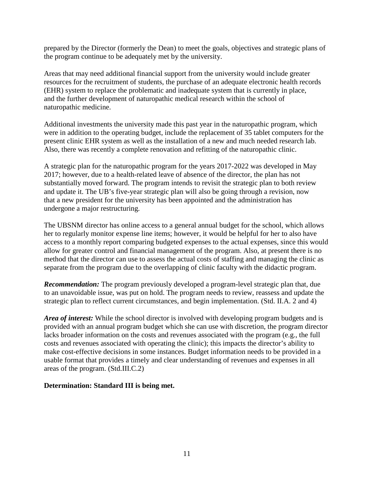prepared by the Director (formerly the Dean) to meet the goals, objectives and strategic plans of the program continue to be adequately met by the university.

Areas that may need additional financial support from the university would include greater resources for the recruitment of students, the purchase of an adequate electronic health records (EHR) system to replace the problematic and inadequate system that is currently in place, and the further development of naturopathic medical research within the school of naturopathic medicine.

Additional investments the university made this past year in the naturopathic program, which were in addition to the operating budget, include the replacement of 35 tablet computers for the present clinic EHR system as well as the installation of a new and much needed research lab. Also, there was recently a complete renovation and refitting of the naturopathic clinic.

A strategic plan for the naturopathic program for the years 2017-2022 was developed in May 2017; however, due to a health-related leave of absence of the director, the plan has not substantially moved forward. The program intends to revisit the strategic plan to both review and update it. The UB's five-year strategic plan will also be going through a revision, now that a new president for the university has been appointed and the administration has undergone a major restructuring.

The UBSNM director has online access to a general annual budget for the school, which allows her to regularly monitor expense line items; however, it would be helpful for her to also have access to a monthly report comparing budgeted expenses to the actual expenses, since this would allow for greater control and financial management of the program. Also, at present there is no method that the director can use to assess the actual costs of staffing and managing the clinic as separate from the program due to the overlapping of clinic faculty with the didactic program.

*Recommendation:* The program previously developed a program-level strategic plan that, due to an unavoidable issue, was put on hold. The program needs to review, reassess and update the strategic plan to reflect current circumstances, and begin implementation. (Std. II.A. 2 and 4)

*Area of interest:* While the school director is involved with developing program budgets and is provided with an annual program budget which she can use with discretion, the program director lacks broader information on the costs and revenues associated with the program (e.g., the full costs and revenues associated with operating the clinic); this impacts the director's ability to make cost-effective decisions in some instances. Budget information needs to be provided in a usable format that provides a timely and clear understanding of revenues and expenses in all areas of the program. (Std.III.C.2)

#### **Determination: Standard III is being met.**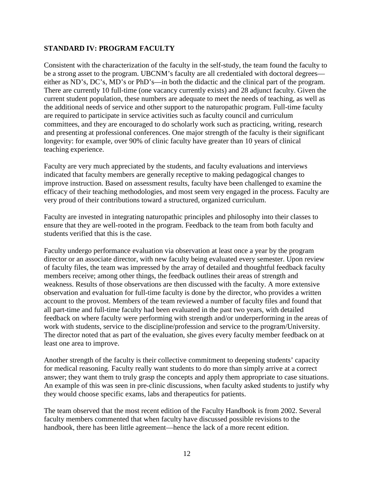#### **STANDARD IV: PROGRAM FACULTY**

Consistent with the characterization of the faculty in the self-study, the team found the faculty to be a strong asset to the program. UBCNM's faculty are all credentialed with doctoral degrees either as ND's, DC's, MD's or PhD's—in both the didactic and the clinical part of the program. There are currently 10 full-time (one vacancy currently exists) and 28 adjunct faculty. Given the current student population, these numbers are adequate to meet the needs of teaching, as well as the additional needs of service and other support to the naturopathic program. Full-time faculty are required to participate in service activities such as faculty council and curriculum committees, and they are encouraged to do scholarly work such as practicing, writing, research and presenting at professional conferences. One major strength of the faculty is their significant longevity: for example, over 90% of clinic faculty have greater than 10 years of clinical teaching experience.

Faculty are very much appreciated by the students, and faculty evaluations and interviews indicated that faculty members are generally receptive to making pedagogical changes to improve instruction. Based on assessment results, faculty have been challenged to examine the efficacy of their teaching methodologies, and most seem very engaged in the process. Faculty are very proud of their contributions toward a structured, organized curriculum.

Faculty are invested in integrating naturopathic principles and philosophy into their classes to ensure that they are well-rooted in the program. Feedback to the team from both faculty and students verified that this is the case.

Faculty undergo performance evaluation via observation at least once a year by the program director or an associate director, with new faculty being evaluated every semester. Upon review of faculty files, the team was impressed by the array of detailed and thoughtful feedback faculty members receive; among other things, the feedback outlines their areas of strength and weakness. Results of those observations are then discussed with the faculty. A more extensive observation and evaluation for full-time faculty is done by the director, who provides a written account to the provost. Members of the team reviewed a number of faculty files and found that all part-time and full-time faculty had been evaluated in the past two years, with detailed feedback on where faculty were performing with strength and/or underperforming in the areas of work with students, service to the discipline/profession and service to the program/University. The director noted that as part of the evaluation, she gives every faculty member feedback on at least one area to improve.

Another strength of the faculty is their collective commitment to deepening students' capacity for medical reasoning. Faculty really want students to do more than simply arrive at a correct answer; they want them to truly grasp the concepts and apply them appropriate to case situations. An example of this was seen in pre-clinic discussions, when faculty asked students to justify why they would choose specific exams, labs and therapeutics for patients.

The team observed that the most recent edition of the Faculty Handbook is from 2002. Several faculty members commented that when faculty have discussed possible revisions to the handbook, there has been little agreement—hence the lack of a more recent edition.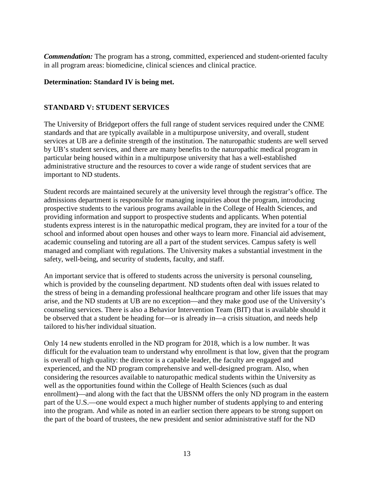*Commendation:* The program has a strong, committed, experienced and student-oriented faculty in all program areas: biomedicine, clinical sciences and clinical practice.

#### **Determination: Standard IV is being met.**

### **STANDARD V: STUDENT SERVICES**

The University of Bridgeport offers the full range of student services required under the CNME standards and that are typically available in a multipurpose university, and overall, student services at UB are a definite strength of the institution. The naturopathic students are well served by UB's student services, and there are many benefits to the naturopathic medical program in particular being housed within in a multipurpose university that has a well-established administrative structure and the resources to cover a wide range of student services that are important to ND students.

Student records are maintained securely at the university level through the registrar's office. The admissions department is responsible for managing inquiries about the program, introducing prospective students to the various programs available in the College of Health Sciences, and providing information and support to prospective students and applicants. When potential students express interest is in the naturopathic medical program, they are invited for a tour of the school and informed about open houses and other ways to learn more. Financial aid advisement, academic counseling and tutoring are all a part of the student services. Campus safety is well managed and compliant with regulations. The University makes a substantial investment in the safety, well-being, and security of students, faculty, and staff.

An important service that is offered to students across the university is personal counseling, which is provided by the counseling department. ND students often deal with issues related to the stress of being in a demanding professional healthcare program and other life issues that may arise, and the ND students at UB are no exception—and they make good use of the University's counseling services. There is also a Behavior Intervention Team (BIT) that is available should it be observed that a student be heading for—or is already in—a crisis situation, and needs help tailored to his/her individual situation.

Only 14 new students enrolled in the ND program for 2018, which is a low number. It was difficult for the evaluation team to understand why enrollment is that low, given that the program is overall of high quality: the director is a capable leader, the faculty are engaged and experienced, and the ND program comprehensive and well-designed program. Also, when considering the resources available to naturopathic medical students within the University as well as the opportunities found within the College of Health Sciences (such as dual enrollment)—and along with the fact that the UBSNM offers the only ND program in the eastern part of the U.S.—one would expect a much higher number of students applying to and entering into the program. And while as noted in an earlier section there appears to be strong support on the part of the board of trustees, the new president and senior administrative staff for the ND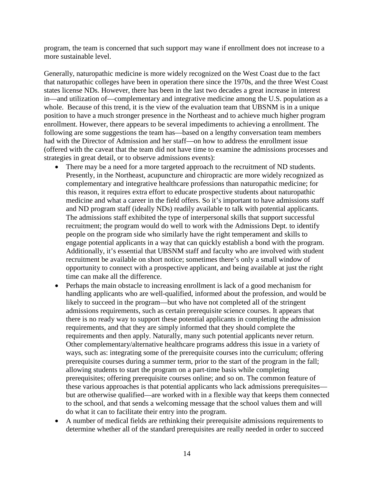program, the team is concerned that such support may wane if enrollment does not increase to a more sustainable level.

Generally, naturopathic medicine is more widely recognized on the West Coast due to the fact that naturopathic colleges have been in operation there since the 1970s, and the three West Coast states license NDs. However, there has been in the last two decades a great increase in interest in—and utilization of—complementary and integrative medicine among the U.S. population as a whole. Because of this trend, it is the view of the evaluation team that UBSNM is in a unique position to have a much stronger presence in the Northeast and to achieve much higher program enrollment. However, there appears to be several impediments to achieving a enrollment. The following are some suggestions the team has—based on a lengthy conversation team members had with the Director of Admission and her staff—on how to address the enrollment issue (offered with the caveat that the team did not have time to examine the admissions processes and strategies in great detail, or to observe admissions events):

- There may be a need for a more targeted approach to the recruitment of ND students. Presently, in the Northeast, acupuncture and chiropractic are more widely recognized as complementary and integrative healthcare professions than naturopathic medicine; for this reason, it requires extra effort to educate prospective students about naturopathic medicine and what a career in the field offers. So it's important to have admissions staff and ND program staff (ideally NDs) readily available to talk with potential applicants. The admissions staff exhibited the type of interpersonal skills that support successful recruitment; the program would do well to work with the Admissions Dept. to identify people on the program side who similarly have the right temperament and skills to engage potential applicants in a way that can quickly establish a bond with the program. Additionally, it's essential that UBSNM staff and faculty who are involved with student recruitment be available on short notice; sometimes there's only a small window of opportunity to connect with a prospective applicant, and being available at just the right time can make all the difference.
- Perhaps the main obstacle to increasing enrollment is lack of a good mechanism for handling applicants who are well-qualified, informed about the profession, and would be likely to succeed in the program—but who have not completed all of the stringent admissions requirements, such as certain prerequisite science courses. It appears that there is no ready way to support these potential applicants in completing the admission requirements, and that they are simply informed that they should complete the requirements and then apply. Naturally, many such potential applicants never return. Other complementary/alternative healthcare programs address this issue in a variety of ways, such as: integrating some of the prerequisite courses into the curriculum; offering prerequisite courses during a summer term, prior to the start of the program in the fall; allowing students to start the program on a part-time basis while completing prerequisites; offering prerequisite courses online; and so on. The common feature of these various approaches is that potential applicants who lack admissions prerequisites but are otherwise qualified—are worked with in a flexible way that keeps them connected to the school, and that sends a welcoming message that the school values them and will do what it can to facilitate their entry into the program.
- A number of medical fields are rethinking their prerequisite admissions requirements to determine whether all of the standard prerequisites are really needed in order to succeed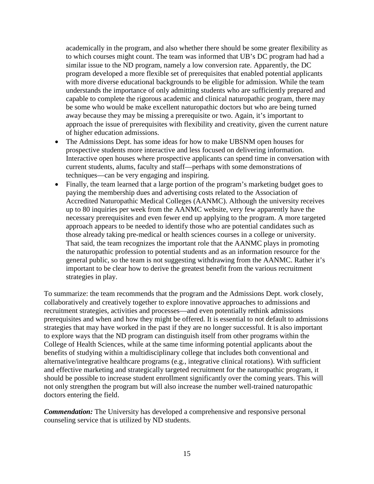academically in the program, and also whether there should be some greater flexibility as to which courses might count. The team was informed that UB's DC program had had a similar issue to the ND program, namely a low conversion rate. Apparently, the DC program developed a more flexible set of prerequisites that enabled potential applicants with more diverse educational backgrounds to be eligible for admission. While the team understands the importance of only admitting students who are sufficiently prepared and capable to complete the rigorous academic and clinical naturopathic program, there may be some who would be make excellent naturopathic doctors but who are being turned away because they may be missing a prerequisite or two. Again, it's important to approach the issue of prerequisites with flexibility and creativity, given the current nature of higher education admissions.

- The Admissions Dept. has some ideas for how to make UBSNM open houses for prospective students more interactive and less focused on delivering information. Interactive open houses where prospective applicants can spend time in conversation with current students, alums, faculty and staff—perhaps with some demonstrations of techniques—can be very engaging and inspiring.
- Finally, the team learned that a large portion of the program's marketing budget goes to paying the membership dues and advertising costs related to the Association of Accredited Naturopathic Medical Colleges (AANMC). Although the university receives up to 80 inquiries per week from the AANMC website, very few apparently have the necessary prerequisites and even fewer end up applying to the program. A more targeted approach appears to be needed to identify those who are potential candidates such as those already taking pre-medical or health sciences courses in a college or university. That said, the team recognizes the important role that the AANMC plays in promoting the naturopathic profession to potential students and as an information resource for the general public, so the team is not suggesting withdrawing from the AANMC. Rather it's important to be clear how to derive the greatest benefit from the various recruitment strategies in play.

To summarize: the team recommends that the program and the Admissions Dept. work closely, collaboratively and creatively together to explore innovative approaches to admissions and recruitment strategies, activities and processes—and even potentially rethink admissions prerequisites and when and how they might be offered. It is essential to not default to admissions strategies that may have worked in the past if they are no longer successful. It is also important to explore ways that the ND program can distinguish itself from other programs within the College of Health Sciences, while at the same time informing potential applicants about the benefits of studying within a multidisciplinary college that includes both conventional and alternative/integrative healthcare programs (e.g., integrative clinical rotations). With sufficient and effective marketing and strategically targeted recruitment for the naturopathic program, it should be possible to increase student enrollment significantly over the coming years. This will not only strengthen the program but will also increase the number well-trained naturopathic doctors entering the field.

*Commendation:* The University has developed a comprehensive and responsive personal counseling service that is utilized by ND students.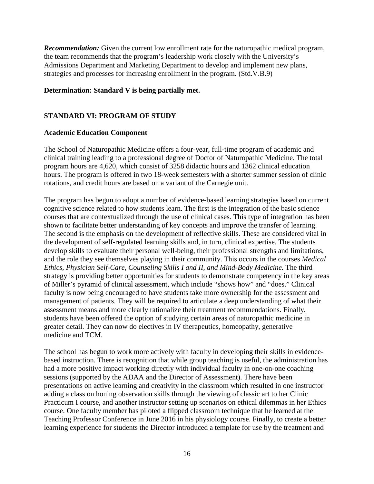*Recommendation:* Given the current low enrollment rate for the naturopathic medical program, the team recommends that the program's leadership work closely with the University's Admissions Department and Marketing Department to develop and implement new plans, strategies and processes for increasing enrollment in the program. (Std.V.B.9)

#### **Determination: Standard V is being partially met.**

### **STANDARD VI: PROGRAM OF STUDY**

#### **Academic Education Component**

The School of Naturopathic Medicine offers a four-year, full-time program of academic and clinical training leading to a professional degree of Doctor of Naturopathic Medicine. The total program hours are 4,620, which consist of 3258 didactic hours and 1362 clinical education hours. The program is offered in two 18-week semesters with a shorter summer session of clinic rotations, and credit hours are based on a variant of the Carnegie unit.

The program has begun to adopt a number of evidence-based learning strategies based on current cognitive science related to how students learn. The first is the integration of the basic science courses that are contextualized through the use of clinical cases. This type of integration has been shown to facilitate better understanding of key concepts and improve the transfer of learning. The second is the emphasis on the development of reflective skills. These are considered vital in the development of self-regulated learning skills and, in turn, clinical expertise. The students develop skills to evaluate their personal well-being, their professional strengths and limitations, and the role they see themselves playing in their community. This occurs in the courses *Medical Ethics, Physician Self-Care, Counseling Skills I and II, and Mind-Body Medicine.* The third strategy is providing better opportunities for students to demonstrate competency in the key areas of Miller's pyramid of clinical assessment, which include "shows how" and "does." Clinical faculty is now being encouraged to have students take more ownership for the assessment and management of patients. They will be required to articulate a deep understanding of what their assessment means and more clearly rationalize their treatment recommendations. Finally, students have been offered the option of studying certain areas of naturopathic medicine in greater detail. They can now do electives in IV therapeutics, homeopathy, generative medicine and TCM.

The school has begun to work more actively with faculty in developing their skills in evidencebased instruction. There is recognition that while group teaching is useful, the administration has had a more positive impact working directly with individual faculty in one-on-one coaching sessions (supported by the ADAA and the Director of Assessment). There have been presentations on active learning and creativity in the classroom which resulted in one instructor adding a class on honing observation skills through the viewing of classic art to her Clinic Practicum I course, and another instructor setting up scenarios on ethical dilemmas in her Ethics course. One faculty member has piloted a flipped classroom technique that he learned at the Teaching Professor Conference in June 2016 in his physiology course. Finally, to create a better learning experience for students the Director introduced a template for use by the treatment and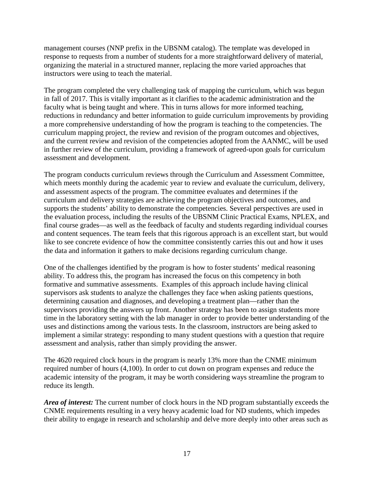management courses (NNP prefix in the UBSNM catalog). The template was developed in response to requests from a number of students for a more straightforward delivery of material, organizing the material in a structured manner, replacing the more varied approaches that instructors were using to teach the material.

The program completed the very challenging task of mapping the curriculum, which was begun in fall of 2017. This is vitally important as it clarifies to the academic administration and the faculty what is being taught and where. This in turns allows for more informed teaching, reductions in redundancy and better information to guide curriculum improvements by providing a more comprehensive understanding of how the program is teaching to the competencies. The curriculum mapping project, the review and revision of the program outcomes and objectives, and the current review and revision of the competencies adopted from the AANMC, will be used in further review of the curriculum, providing a framework of agreed-upon goals for curriculum assessment and development.

The program conducts curriculum reviews through the Curriculum and Assessment Committee, which meets monthly during the academic year to review and evaluate the curriculum, delivery, and assessment aspects of the program. The committee evaluates and determines if the curriculum and delivery strategies are achieving the program objectives and outcomes, and supports the students' ability to demonstrate the competencies. Several perspectives are used in the evaluation process, including the results of the UBSNM Clinic Practical Exams, NPLEX, and final course grades—as well as the feedback of faculty and students regarding individual courses and content sequences. The team feels that this rigorous approach is an excellent start, but would like to see concrete evidence of how the committee consistently carries this out and how it uses the data and information it gathers to make decisions regarding curriculum change.

One of the challenges identified by the program is how to foster students' medical reasoning ability. To address this, the program has increased the focus on this competency in both formative and summative assessments. Examples of this approach include having clinical supervisors ask students to analyze the challenges they face when asking patients questions, determining causation and diagnoses, and developing a treatment plan—rather than the supervisors providing the answers up front. Another strategy has been to assign students more time in the laboratory setting with the lab manager in order to provide better understanding of the uses and distinctions among the various tests. In the classroom, instructors are being asked to implement a similar strategy: responding to many student questions with a question that require assessment and analysis, rather than simply providing the answer.

The 4620 required clock hours in the program is nearly 13% more than the CNME minimum required number of hours (4,100). In order to cut down on program expenses and reduce the academic intensity of the program, it may be worth considering ways streamline the program to reduce its length.

*Area of interest:* The current number of clock hours in the ND program substantially exceeds the CNME requirements resulting in a very heavy academic load for ND students, which impedes their ability to engage in research and scholarship and delve more deeply into other areas such as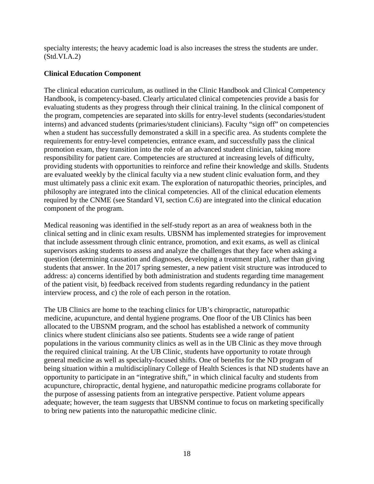specialty interests; the heavy academic load is also increases the stress the students are under. (Std.VI.A.2)

### **Clinical Education Component**

The clinical education curriculum, as outlined in the Clinic Handbook and Clinical Competency Handbook, is competency-based. Clearly articulated clinical competencies provide a basis for evaluating students as they progress through their clinical training. In the clinical component of the program, competencies are separated into skills for entry-level students (secondaries/student interns) and advanced students (primaries/student clinicians). Faculty "sign off" on competencies when a student has successfully demonstrated a skill in a specific area. As students complete the requirements for entry-level competencies, entrance exam, and successfully pass the clinical promotion exam, they transition into the role of an advanced student clinician, taking more responsibility for patient care. Competencies are structured at increasing levels of difficulty, providing students with opportunities to reinforce and refine their knowledge and skills. Students are evaluated weekly by the clinical faculty via a new student clinic evaluation form, and they must ultimately pass a clinic exit exam. The exploration of naturopathic theories, principles, and philosophy are integrated into the clinical competencies. All of the clinical education elements required by the CNME (see Standard VI, section C.6) are integrated into the clinical education component of the program.

Medical reasoning was identified in the self-study report as an area of weakness both in the clinical setting and in clinic exam results. UBSNM has implemented strategies for improvement that include assessment through clinic entrance, promotion, and exit exams, as well as clinical supervisors asking students to assess and analyze the challenges that they face when asking a question (determining causation and diagnoses, developing a treatment plan), rather than giving students that answer. In the 2017 spring semester, a new patient visit structure was introduced to address: a) concerns identified by both administration and students regarding time management of the patient visit, b) feedback received from students regarding redundancy in the patient interview process, and c) the role of each person in the rotation.

The UB Clinics are home to the teaching clinics for UB's [chiropractic,](https://www.bridgeport.edu/academics/graduate/chiropractic-dc/) [naturopathic](https://www.bridgeport.edu/academics/graduate/naturopathic-medicine-nd/)  [medicine,](https://www.bridgeport.edu/academics/graduate/naturopathic-medicine-nd/) [acupuncture,](https://www.bridgeport.edu/academics/schools-colleges/acupuncture-institute/) and [dental hygiene](https://www.bridgeport.edu/academics/schools-colleges/fones-school-dental-hygiene/) programs. One floor of the UB Clinics has been allocated to the UBSNM program, and the school has established a network of community clinics where student clinicians also see patients. Students see a wide range of patient populations in the various community clinics as well as in the UB Clinic as they move through the required clinical training. At the UB Clinic, students have opportunity to rotate through general medicine as well as specialty-focused shifts. One of benefits for the ND program of being situation within a multidisciplinary College of Health Sciences is that ND students have an opportunity to participate in an "integrative shift," in which clinical faculty and students from acupuncture, chiropractic, dental hygiene, and naturopathic medicine programs collaborate for the purpose of assessing patients from an integrative perspective. Patient volume appears adequate; however, the team *suggests* that UBSNM continue to focus on marketing specifically to bring new patients into the naturopathic medicine clinic.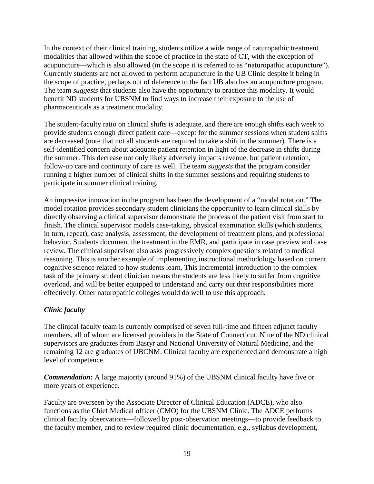In the context of their clinical training, students utilize a wide range of naturopathic treatment modalities that allowed within the scope of practice in the state of CT, with the exception of acupuncture—which is also allowed (in the scope it is referred to as "naturopathic acupuncture"). Currently students are not allowed to perform acupuncture in the UB Clinic despite it being in the scope of practice, perhaps out of deference to the fact UB also has an acupuncture program. The team *suggests* that students also have the opportunity to practice this modality. It would benefit ND students for UBSNM to find ways to increase their exposure to the use of pharmaceuticals as a treatment modality.

The student-faculty ratio on clinical shifts is adequate, and there are enough shifts each week to provide students enough direct patient care—except for the summer sessions when student shifts are decreased (note that not all students are required to take a shift in the summer). There is a self-identified concern about adequate patient retention in light of the decrease in shifts during the summer. This decrease not only likely adversely impacts revenue, but patient retention, follow-up care and continuity of care as well. The team *suggests* that the program consider running a higher number of clinical shifts in the summer sessions and requiring students to participate in summer clinical training.

An impressive innovation in the program has been the development of a "model rotation." The model rotation provides secondary student clinicians the opportunity to learn clinical skills by directly observing a clinical supervisor demonstrate the process of the patient visit from start to finish. The clinical supervisor models case-taking, physical examination skills (which students, in turn, repeat), case analysis, assessment, the development of treatment plans, and professional behavior. Students document the treatment in the EMR, and participate in case preview and case review. The clinical supervisor also asks progressively complex questions related to medical reasoning. This is another example of implementing instructional methodology based on current cognitive science related to how students learn. This incremental introduction to the complex task of the primary student clinician means the students are less likely to suffer from cognitive overload, and will be better equipped to understand and carry out their responsibilities more effectively. Other naturopathic colleges would do well to use this approach.

## *Clinic faculty*

The clinical faculty team is currently comprised of seven full-time and fifteen adjunct faculty members, all of whom are licensed providers in the State of Connecticut. Nine of the ND clinical supervisors are graduates from Bastyr and National University of Natural Medicine, and the remaining 12 are graduates of UBCNM. Clinical faculty are experienced and demonstrate a high level of competence.

*Commendation:* A large majority (around 91%) of the UBSNM clinical faculty have five or more years of experience.

Faculty are overseen by the Associate Director of Clinical Education (ADCE), who also functions as the Chief Medical officer (CMO) for the UBSNM Clinic. The ADCE performs clinical faculty observations—followed by post-observation meetings—to provide feedback to the faculty member, and to review required clinic documentation, e.g., syllabus development,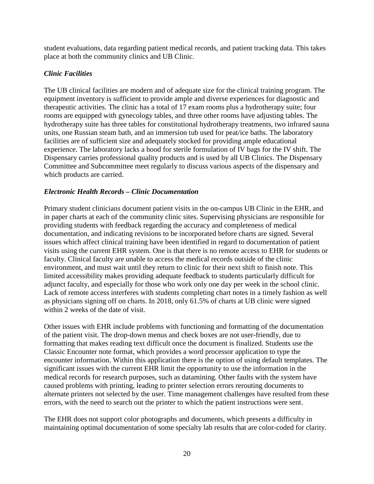student evaluations, data regarding patient medical records, and patient tracking data. This takes place at both the community clinics and UB Clinic.

### *Clinic Facilities*

The UB clinical facilities are modern and of adequate size for the clinical training program. The equipment inventory is sufficient to provide ample and diverse experiences for diagnostic and therapeutic activities. The clinic has a total of 17 exam rooms plus a hydrotherapy suite; four rooms are equipped with gynecology tables, and three other rooms have adjusting tables. The hydrotherapy suite has three tables for constitutional hydrotherapy treatments, two infrared sauna units, one Russian steam bath, and an immersion tub used for peat/ice baths. The laboratory facilities are of sufficient size and adequately stocked for providing ample educational experience. The laboratory lacks a hood for sterile formulation of IV bags for the IV shift. The Dispensary carries professional quality products and is used by all UB Clinics. The Dispensary Committee and Subcommittee meet regularly to discuss various aspects of the dispensary and which products are carried.

### *Electronic Health Records – Clinic Documentation*

Primary student clinicians document patient visits in the on-campus UB Clinic in the EHR, and in paper charts at each of the community clinic sites. Supervising physicians are responsible for providing students with feedback regarding the accuracy and completeness of medical documentation, and indicating revisions to be incorporated before charts are signed. Several issues which affect clinical training have been identified in regard to documentation of patient visits using the current EHR system. One is that there is no remote access to EHR for students or faculty. Clinical faculty are unable to access the medical records outside of the clinic environment, and must wait until they return to clinic for their next shift to finish note. This limited accessibility makes providing adequate feedback to students particularly difficult for adjunct faculty, and especially for those who work only one day per week in the school clinic. Lack of remote access interferes with students completing chart notes in a timely fashion as well as physicians signing off on charts. In 2018, only 61.5% of charts at UB clinic were signed within 2 weeks of the date of visit.

Other issues with EHR include problems with functioning and formatting of the documentation of the patient visit. The drop-down menus and check boxes are not user-friendly, due to formatting that makes reading text difficult once the document is finalized. Students use the Classic Encounter note format, which provides a word processor application to type the encounter information. Within this application there is the option of using default templates. The significant issues with the current EHR limit the opportunity to use the information in the medical records for research purposes, such as datamining. Other faults with the system have caused problems with printing, leading to printer selection errors rerouting documents to alternate printers not selected by the user. Time management challenges have resulted from these errors, with the need to search out the printer to which the patient instructions were sent.

The EHR does not support color photographs and documents, which presents a difficulty in maintaining optimal documentation of some specialty lab results that are color-coded for clarity.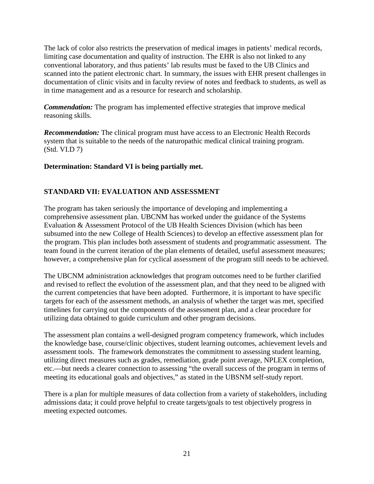The lack of color also restricts the preservation of medical images in patients' medical records, limiting case documentation and quality of instruction. The EHR is also not linked to any conventional laboratory, and thus patients' lab results must be faxed to the UB Clinics and scanned into the patient electronic chart. In summary, the issues with EHR present challenges in documentation of clinic visits and in faculty review of notes and feedback to students, as well as in time management and as a resource for research and scholarship.

*Commendation:* The program has implemented effective strategies that improve medical reasoning skills.

*Recommendation:* The clinical program must have access to an Electronic Health Records system that is suitable to the needs of the naturopathic medical clinical training program. (Std. VI.D 7)

#### **Determination: Standard VI is being partially met.**

## **STANDARD VII: EVALUATION AND ASSESSMENT**

The program has taken seriously the importance of developing and implementing a comprehensive assessment plan. UBCNM has worked under the guidance of the Systems Evaluation & Assessment Protocol of the UB Health Sciences Division (which has been subsumed into the new College of Health Sciences) to develop an effective assessment plan for the program. This plan includes both assessment of students and programmatic assessment. The team found in the current iteration of the plan elements of detailed, useful assessment measures; however, a comprehensive plan for cyclical assessment of the program still needs to be achieved.

The UBCNM administration acknowledges that program outcomes need to be further clarified and revised to reflect the evolution of the assessment plan, and that they need to be aligned with the current competencies that have been adopted. Furthermore, it is important to have specific targets for each of the assessment methods, an analysis of whether the target was met, specified timelines for carrying out the components of the assessment plan, and a clear procedure for utilizing data obtained to guide curriculum and other program decisions.

The assessment plan contains a well-designed program competency framework, which includes the knowledge base, course/clinic objectives, student learning outcomes, achievement levels and assessment tools. The framework demonstrates the commitment to assessing student learning, utilizing direct measures such as grades, remediation, grade point average, NPLEX completion, etc.—but needs a clearer connection to assessing "the overall success of the program in terms of meeting its educational goals and objectives," as stated in the UBSNM self-study report.

There is a plan for multiple measures of data collection from a variety of stakeholders, including admissions data; it could prove helpful to create targets/goals to test objectively progress in meeting expected outcomes.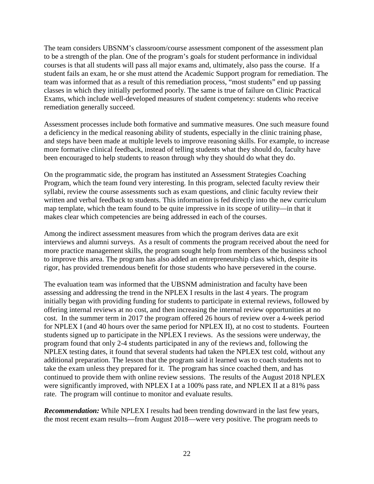The team considers UBSNM's classroom/course assessment component of the assessment plan to be a strength of the plan. One of the program's goals for student performance in individual courses is that all students will pass all major exams and, ultimately, also pass the course. If a student fails an exam, he or she must attend the Academic Support program for remediation. The team was informed that as a result of this remediation process, "most students" end up passing classes in which they initially performed poorly. The same is true of failure on Clinic Practical Exams, which include well-developed measures of student competency: students who receive remediation generally succeed.

Assessment processes include both formative and summative measures. One such measure found a deficiency in the medical reasoning ability of students, especially in the clinic training phase, and steps have been made at multiple levels to improve reasoning skills. For example, to increase more formative clinical feedback, instead of telling students what they should do, faculty have been encouraged to help students to reason through why they should do what they do.

On the programmatic side, the program has instituted an Assessment Strategies Coaching Program, which the team found very interesting. In this program, selected faculty review their syllabi, review the course assessments such as exam questions, and clinic faculty review their written and verbal feedback to students. This information is fed directly into the new curriculum map template, which the team found to be quite impressive in its scope of utility—in that it makes clear which competencies are being addressed in each of the courses.

Among the indirect assessment measures from which the program derives data are exit interviews and alumni surveys. As a result of comments the program received about the need for more practice management skills, the program sought help from members of the business school to improve this area. The program has also added an entrepreneurship class which, despite its rigor, has provided tremendous benefit for those students who have persevered in the course.

The evaluation team was informed that the UBSNM administration and faculty have been assessing and addressing the trend in the NPLEX I results in the last 4 years. The program initially began with providing funding for students to participate in external reviews, followed by offering internal reviews at no cost, and then increasing the internal review opportunities at no cost. In the summer term in 2017 the program offered 26 hours of review over a 4-week period for NPLEX I (and 40 hours over the same period for NPLEX II), at no cost to students. Fourteen students signed up to participate in the NPLEX I reviews. As the sessions were underway, the program found that only 2-4 students participated in any of the reviews and, following the NPLEX testing dates, it found that several students had taken the NPLEX test cold, without any additional preparation. The lesson that the program said it learned was to coach students not to take the exam unless they prepared for it. The program has since coached them, and has continued to provide them with online review sessions. The results of the August 2018 NPLEX were significantly improved, with NPLEX I at a 100% pass rate, and NPLEX II at a 81% pass rate. The program will continue to monitor and evaluate results.

*Recommendation:* While NPLEX I results had been trending downward in the last few years, the most recent exam results—from August 2018—were very positive. The program needs to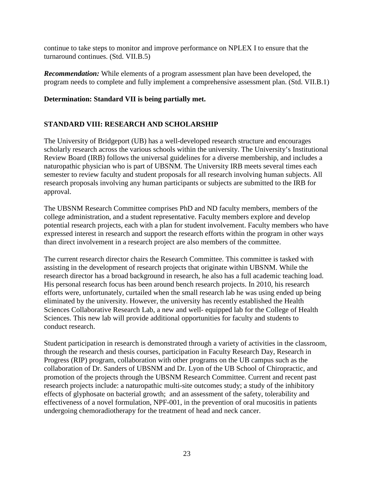continue to take steps to monitor and improve performance on NPLEX I to ensure that the turnaround continues. (Std. VII.B.5)

*Recommendation:* While elements of a program assessment plan have been developed, the program needs to complete and fully implement a comprehensive assessment plan. (Std. VII.B.1)

#### **Determination: Standard VII is being partially met.**

### **STANDARD VIII: RESEARCH AND SCHOLARSHIP**

The University of Bridgeport (UB) has a well-developed research structure and encourages scholarly research across the various schools within the university. The University's Institutional Review Board (IRB) follows the universal guidelines for a diverse membership, and includes a naturopathic physician who is part of UBSNM. The University IRB meets several times each semester to review faculty and student proposals for all research involving human subjects. All research proposals involving any human participants or subjects are submitted to the IRB for approval.

The UBSNM Research Committee comprises PhD and ND faculty members, members of the college administration, and a student representative. Faculty members explore and develop potential research projects, each with a plan for student involvement. Faculty members who have expressed interest in research and support the research efforts within the program in other ways than direct involvement in a research project are also members of the committee.

The current research director chairs the Research Committee. This committee is tasked with assisting in the development of research projects that originate within UBSNM. While the research director has a broad background in research, he also has a full academic teaching load. His personal research focus has been around bench research projects. In 2010, his research efforts were, unfortunately, curtailed when the small research lab he was using ended up being eliminated by the university. However, the university has recently established the Health Sciences Collaborative Research Lab, a new and well- equipped lab for the College of Health Sciences. This new lab will provide additional opportunities for faculty and students to conduct research.

Student participation in research is demonstrated through a variety of activities in the classroom, through the research and thesis courses, participation in Faculty Research Day, Research in Progress (RIP) program, collaboration with other programs on the UB campus such as the collaboration of Dr. Sanders of UBSNM and Dr. Lyon of the UB School of Chiropractic, and promotion of the projects through the UBSNM Research Committee. Current and recent past research projects include: a naturopathic multi-site outcomes study; a study of the inhibitory effects of glyphosate on bacterial growth; and an assessment of the safety, tolerability and effectiveness of a novel formulation, NPF-001, in the prevention of oral mucositis in patients undergoing chemoradiotherapy for the treatment of head and neck cancer.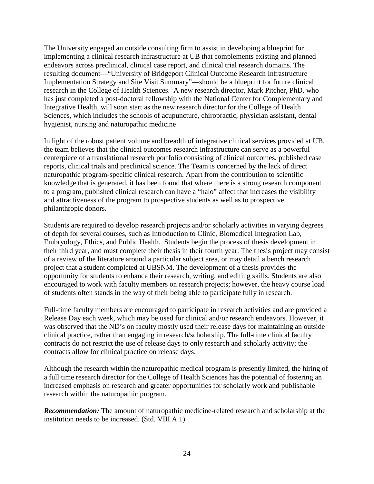The University engaged an outside consulting firm to assist in developing a blueprint for implementing a clinical research infrastructure at UB that complements existing and planned endeavors across preclinical, clinical case report, and clinical trial research domains. The resulting document—"University of Bridgeport Clinical Outcome Research Infrastructure Implementation Strategy and Site Visit Summary"—should be a blueprint for future clinical research in the College of Health Sciences. A new research director, Mark Pitcher, PhD, who has just completed a post-doctoral fellowship with the National Center for Complementary and Integrative Health, will soon start as the new research director for the College of Health Sciences, which includes the schools of acupuncture, chiropractic, physician assistant, dental hygienist, nursing and naturopathic medicine

In light of the robust patient volume and breadth of integrative clinical services provided at UB, the team believes that the clinical outcomes research infrastructure can serve as a powerful centerpiece of a translational research portfolio consisting of clinical outcomes, published case reports, clinical trials and preclinical science. The Team is concerned by the lack of direct naturopathic program-specific clinical research. Apart from the contribution to scientific knowledge that is generated, it has been found that where there is a strong research component to a program, published clinical research can have a "halo" affect that increases the visibility and attractiveness of the program to prospective students as well as to prospective philanthropic donors.

Students are required to develop research projects and/or scholarly activities in varying degrees of depth for several courses, such as Introduction to Clinic, Biomedical Integration Lab, Embryology, Ethics, and Public Health. Students begin the process of thesis development in their third year, and must complete their thesis in their fourth year. The thesis project may consist of a review of the literature around a particular subject area, or may detail a bench research project that a student completed at UBSNM. The development of a thesis provides the opportunity for students to enhance their research, writing, and editing skills. Students are also encouraged to work with faculty members on research projects; however, the heavy course load of students often stands in the way of their being able to participate fully in research.

Full-time faculty members are encouraged to participate in research activities and are provided a Release Day each week, which may be used for clinical and/or research endeavors. However, it was observed that the ND's on faculty mostly used their release days for maintaining an outside clinical practice, rather than engaging in research/scholarship. The full-time clinical faculty contracts do not restrict the use of release days to only research and scholarly activity; the contracts allow for clinical practice on release days.

Although the research within the naturopathic medical program is presently limited, the hiring of a full time research director for the College of Health Sciences has the potential of fostering an increased emphasis on research and greater opportunities for scholarly work and publishable research within the naturopathic program.

*Recommendation:* The amount of naturopathic medicine-related research and scholarship at the institution needs to be increased. (Std. VIII.A.1)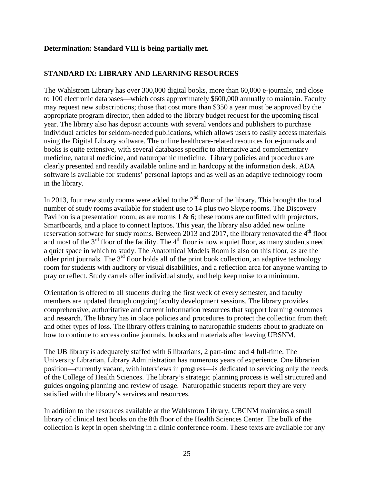#### **Determination: Standard VIII is being partially met.**

#### **STANDARD IX: LIBRARY AND LEARNING RESOURCES**

The Wahlstrom Library has over 300,000 digital books, more than 60,000 e-journals, and close to 100 electronic databases—which costs approximately \$600,000 annually to maintain. Faculty may request new subscriptions; those that cost more than \$350 a year must be approved by the appropriate program director, then added to the library budget request for the upcoming fiscal year. The library also has deposit accounts with several vendors and publishers to purchase individual articles for seldom-needed publications, which allows users to easily access materials using the Digital Library software. The online healthcare-related resources for e-journals and books is quite extensive, with several databases specific to alternative and complementary medicine, natural medicine, and naturopathic medicine. Library policies and procedures are clearly presented and readily available online and in hardcopy at the information desk. ADA software is available for students' personal laptops and as well as an adaptive technology room in the library.

In 2013, four new study rooms were added to the  $2<sup>nd</sup>$  floor of the library. This brought the total number of study rooms available for student use to 14 plus two Skype rooms. The Discovery Pavilion is a presentation room, as are rooms  $1 \& 6$ ; these rooms are outfitted with projectors, Smartboards, and a place to connect laptops. This year, the library also added new online reservation software for study rooms. Between 2013 and 2017, the library renovated the  $4<sup>th</sup>$  floor and most of the  $3<sup>rd</sup>$  floor of the facility. The  $4<sup>th</sup>$  floor is now a quiet floor, as many students need a quiet space in which to study. The Anatomical Models Room is also on this floor, as are the older print journals. The 3rd floor holds all of the print book collection, an adaptive technology room for students with auditory or visual disabilities, and a reflection area for anyone wanting to pray or reflect. Study carrels offer individual study, and help keep noise to a minimum.

Orientation is offered to all students during the first week of every semester, and faculty members are updated through ongoing faculty development sessions. The library provides comprehensive, authoritative and current information resources that support learning outcomes and research. The library has in place policies and procedures to protect the collection from theft and other types of loss. The library offers training to naturopathic students about to graduate on how to continue to access online journals, books and materials after leaving UBSNM.

The UB library is adequately staffed with 6 librarians, 2 part-time and 4 full-time. The University Librarian, Library Administration has numerous years of experience. One librarian position—currently vacant, with interviews in progress—is dedicated to servicing only the needs of the College of Health Sciences. The library's strategic planning process is well structured and guides ongoing planning and review of usage. Naturopathic students report they are very satisfied with the library's services and resources.

In addition to the resources available at the Wahlstrom Library, UBCNM maintains a small library of clinical text books on the 8th floor of the Health Sciences Center. The bulk of the collection is kept in open shelving in a clinic conference room. These texts are available for any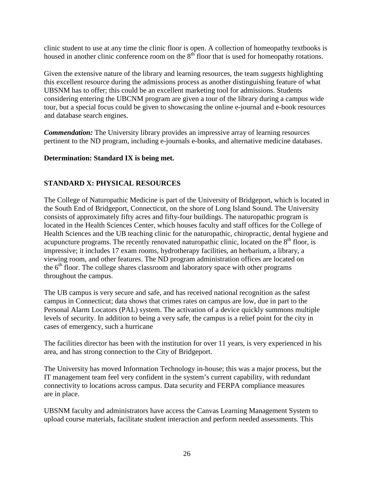clinic student to use at any time the clinic floor is open. A collection of homeopathy textbooks is housed in another clinic conference room on the 8<sup>th</sup> floor that is used for homeopathy rotations.

Given the extensive nature of the library and learning resources, the team *suggests* highlighting this excellent resource during the admissions process as another distinguishing feature of what UBSNM has to offer; this could be an excellent marketing tool for admissions. Students considering entering the UBCNM program are given a tour of the library during a campus wide tour, but a special focus could be given to showcasing the online e-journal and e-book resources and database search engines.

*Commendation:* The University library provides an impressive array of learning resources pertinent to the ND program, including e-journals e-books, and alternative medicine databases.

## **Determination: Standard IX is being met.**

## **STANDARD X: PHYSICAL RESOURCES**

The College of Naturopathic Medicine is part of the University of Bridgeport, which is located in the South End of Bridgeport, Connecticut, on the shore of Long Island Sound. The University consists of approximately fifty acres and fifty-four buildings. The naturopathic program is located in the Health Sciences Center, which houses faculty and staff offices for the College of Health Sciences and the UB teaching clinic for the naturopathic, chiropractic, dental hygiene and acupuncture programs. The recently renovated naturopathic clinic, located on the  $8<sup>th</sup>$  floor, is impressive; it includes 17 exam rooms, hydrotherapy facilities, an herbarium, a library, a viewing room, and other features. The ND program administration offices are located on the  $6<sup>th</sup>$  floor. The college shares classroom and laboratory space with other programs throughout the campus.

The UB campus is very secure and safe, and has received national recognition as the safest campus in Connecticut; data shows that crimes rates on campus are low, due in part to the Personal Alarm Locators (PAL) system. The activation of a device quickly summons multiple levels of security. In addition to being a very safe, the campus is a relief point for the city in cases of emergency, such a hurricane

The facilities director has been with the institution for over 11 years, is very experienced in his area, and has strong connection to the City of Bridgeport.

The University has moved Information Technology in-house; this was a major process, but the IT management team feel very confident in the system's current capability, with redundant connectivity to locations across campus. Data security and FERPA compliance measures are in place.

UBSNM faculty and administrators have access the Canvas Learning Management System to upload course materials, facilitate student interaction and perform needed assessments. This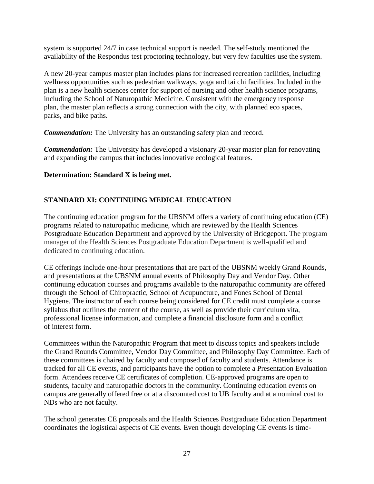system is supported 24/7 in case technical support is needed. The self-study mentioned the availability of the Respondus test proctoring technology, but very few faculties use the system.

A new 20-year campus master plan includes plans for increased recreation facilities, including wellness opportunities such as pedestrian walkways, yoga and tai chi facilities. Included in the plan is a new health sciences center for support of nursing and other health science programs, including the School of Naturopathic Medicine. Consistent with the emergency response plan, the master plan reflects a strong connection with the city, with planned eco spaces, parks, and bike paths.

*Commendation:* The University has an outstanding safety plan and record.

*Commendation:* The University has developed a visionary 20-year master plan for renovating and expanding the campus that includes innovative ecological features.

## **Determination: Standard X is being met.**

## **STANDARD XI: CONTINUING MEDICAL EDUCATION**

The continuing education program for the UBSNM offers a variety of continuing education (CE) programs related to naturopathic medicine, which are reviewed by the Health Sciences Postgraduate Education Department and approved by the University of Bridgeport. The program manager of the Health Sciences Postgraduate Education Department is well-qualified and dedicated to continuing education.

CE offerings include one-hour presentations that are part of the UBSNM weekly Grand Rounds, and presentations at the UBSNM annual events of Philosophy Day and Vendor Day. Other continuing education courses and programs available to the naturopathic community are offered through the School of Chiropractic, School of Acupuncture, and Fones School of Dental Hygiene. The instructor of each course being considered for CE credit must complete a course syllabus that outlines the content of the course, as well as provide their curriculum vita, professional license information, and complete a financial disclosure form and a conflict of interest form.

Committees within the Naturopathic Program that meet to discuss topics and speakers include the Grand Rounds Committee, Vendor Day Committee, and Philosophy Day Committee. Each of these committees is chaired by faculty and composed of faculty and students. Attendance is tracked for all CE events, and participants have the option to complete a Presentation Evaluation form. Attendees receive CE certificates of completion. CE-approved programs are open to students, faculty and naturopathic doctors in the community. Continuing education events on campus are generally offered free or at a discounted cost to UB faculty and at a nominal cost to NDs who are not faculty.

The school generates CE proposals and the Health Sciences Postgraduate Education Department coordinates the logistical aspects of CE events. Even though developing CE events is time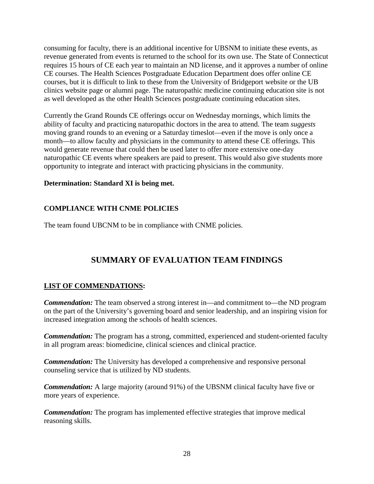consuming for faculty, there is an additional incentive for UBSNM to initiate these events, as revenue generated from events is returned to the school for its own use. The State of Connecticut requires 15 hours of CE each year to maintain an ND license, and it approves a number of online CE courses. The Health Sciences Postgraduate Education Department does offer online CE courses, but it is difficult to link to these from the University of Bridgeport website or the UB clinics website page or alumni page. The naturopathic medicine continuing education site is not as well developed as the other Health Sciences postgraduate continuing education sites.

Currently the Grand Rounds CE offerings occur on Wednesday mornings, which limits the ability of faculty and practicing naturopathic doctors in the area to attend. The team *suggests*  moving grand rounds to an evening or a Saturday timeslot—even if the move is only once a month—to allow faculty and physicians in the community to attend these CE offerings. This would generate revenue that could then be used later to offer more extensive one-day naturopathic CE events where speakers are paid to present. This would also give students more opportunity to integrate and interact with practicing physicians in the community.

#### **Determination: Standard XI is being met.**

## **COMPLIANCE WITH CNME POLICIES**

The team found UBCNM to be in compliance with CNME policies.

# **SUMMARY OF EVALUATION TEAM FINDINGS**

#### **LIST OF COMMENDATIONS:**

*Commendation:* The team observed a strong interest in—and commitment to—the ND program on the part of the University's governing board and senior leadership, and an inspiring vision for increased integration among the schools of health sciences.

*Commendation:* The program has a strong, committed, experienced and student-oriented faculty in all program areas: biomedicine, clinical sciences and clinical practice.

*Commendation:* The University has developed a comprehensive and responsive personal counseling service that is utilized by ND students.

*Commendation:* A large majority (around 91%) of the UBSNM clinical faculty have five or more years of experience.

*Commendation:* The program has implemented effective strategies that improve medical reasoning skills.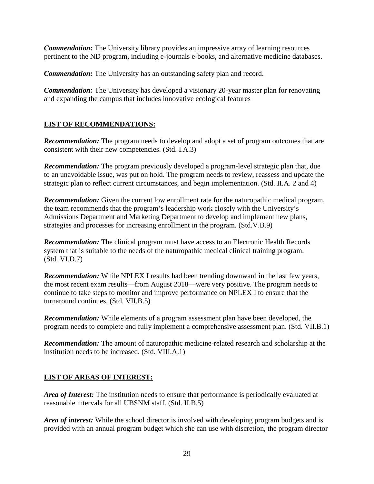*Commendation:* The University library provides an impressive array of learning resources pertinent to the ND program, including e-journals e-books, and alternative medicine databases.

*Commendation:* The University has an outstanding safety plan and record.

*Commendation:* The University has developed a visionary 20-year master plan for renovating and expanding the campus that includes innovative ecological features

## **LIST OF RECOMMENDATIONS:**

*Recommendation:* The program needs to develop and adopt a set of program outcomes that are consistent with their new competencies. (Std. I.A.3)

*Recommendation:* The program previously developed a program-level strategic plan that, due to an unavoidable issue, was put on hold. The program needs to review, reassess and update the strategic plan to reflect current circumstances, and begin implementation. (Std. II.A. 2 and 4)

*Recommendation:* Given the current low enrollment rate for the naturopathic medical program, the team recommends that the program's leadership work closely with the University's Admissions Department and Marketing Department to develop and implement new plans, strategies and processes for increasing enrollment in the program. (Std.V.B.9)

*Recommendation:* The clinical program must have access to an Electronic Health Records system that is suitable to the needs of the naturopathic medical clinical training program. (Std. VI.D.7)

*Recommendation:* While NPLEX I results had been trending downward in the last few years, the most recent exam results—from August 2018—were very positive. The program needs to continue to take steps to monitor and improve performance on NPLEX I to ensure that the turnaround continues. (Std. VII.B.5)

*Recommendation:* While elements of a program assessment plan have been developed, the program needs to complete and fully implement a comprehensive assessment plan. (Std. VII.B.1)

*Recommendation:* The amount of naturopathic medicine-related research and scholarship at the institution needs to be increased. (Std. VIII.A.1)

## **LIST OF AREAS OF INTEREST:**

*Area of Interest:* The institution needs to ensure that performance is periodically evaluated at reasonable intervals for all UBSNM staff. (Std. II.B.5)

*Area of interest:* While the school director is involved with developing program budgets and is provided with an annual program budget which she can use with discretion, the program director